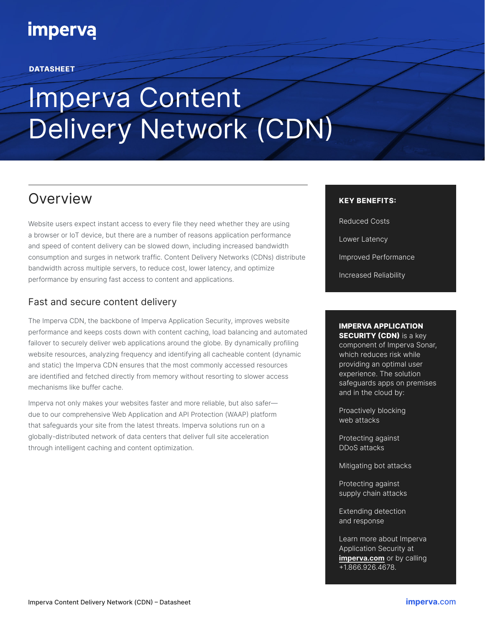## **imperva**

#### **DATASHEET**

# Imperva Content Delivery Network (CDN)

## Overview

Website users expect instant access to every file they need whether they are using a browser or IoT device, but there are a number of reasons application performance and speed of content delivery can be slowed down, including increased bandwidth consumption and surges in network traffic. Content Delivery Networks (CDNs) distribute bandwidth across multiple servers, to reduce cost, lower latency, and optimize performance by ensuring fast access to content and applications.

#### Fast and secure content delivery

The Imperva CDN, the backbone of Imperva Application Security, improves website performance and keeps costs down with content caching, load balancing and automated failover to securely deliver web applications around the globe. By dynamically profiling website resources, analyzing frequency and identifying all cacheable content (dynamic and static) the Imperva CDN ensures that the most commonly accessed resources are identified and fetched directly from memory without resorting to slower access mechanisms like buffer cache.

Imperva not only makes your websites faster and more reliable, but also safer due to our comprehensive Web Application and API Protection (WAAP) platform that safeguards your site from the latest threats. Imperva solutions run on a globally-distributed network of data centers that deliver full site acceleration through intelligent caching and content optimization.

#### KEY BENEFITS:

Reduced Costs Lower Latency Improved Performance Increased Reliability

#### IMPERVA APPLICATION **SECURITY (CDN)** is a key

component of Imperva Sonar, which reduces risk while providing an optimal user experience. The solution safeguards apps on premises and in the cloud by:

Proactively blocking web attacks

Protecting against DDoS attacks

Mitigating bot attacks

Protecting against supply chain attacks

Extending detection and response

Learn more about Imperva Application Security at imperva.com or by calling +1.866.926.4678.